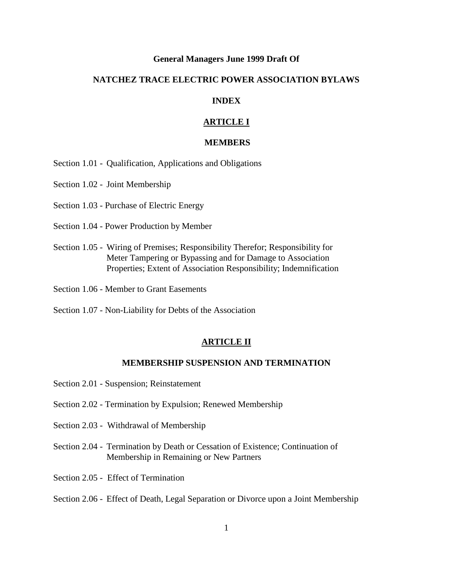# **General Managers June 1999 Draft Of**

# **NATCHEZ TRACE ELECTRIC POWER ASSOCIATION BYLAWS**

# **INDEX**

# **ARTICLE I**

# **MEMBERS**

Section 1.01 - Qualification, Applications and Obligations

Section 1.02 - Joint Membership

Section 1.03 - Purchase of Electric Energy

- Section 1.04 Power Production by Member
- Section 1.05 Wiring of Premises; Responsibility Therefor; Responsibility for Meter Tampering or Bypassing and for Damage to Association Properties; Extent of Association Responsibility; Indemnification
- Section 1.06 Member to Grant Easements
- Section 1.07 Non-Liability for Debts of the Association

# **ARTICLE II**

# **MEMBERSHIP SUSPENSION AND TERMINATION**

- Section 2.01 Suspension; Reinstatement
- Section 2.02 Termination by Expulsion; Renewed Membership
- Section 2.03 Withdrawal of Membership
- Section 2.04 Termination by Death or Cessation of Existence; Continuation of Membership in Remaining or New Partners
- Section 2.05 Effect of Termination
- Section 2.06 Effect of Death, Legal Separation or Divorce upon a Joint Membership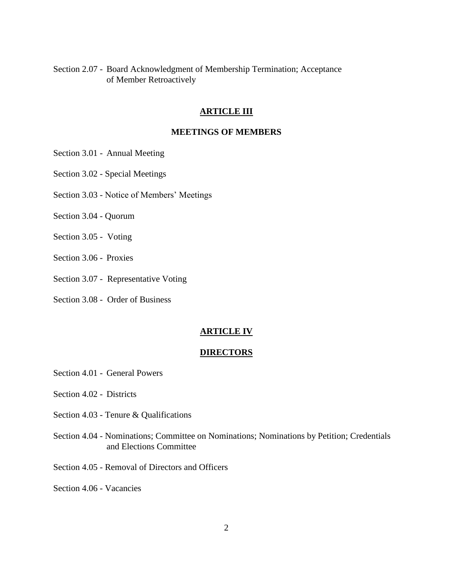Section 2.07 - Board Acknowledgment of Membership Termination; Acceptance of Member Retroactively

# **ARTICLE III**

# **MEETINGS OF MEMBERS**

- Section 3.01 Annual Meeting
- Section 3.02 Special Meetings
- Section 3.03 Notice of Members' Meetings
- Section 3.04 Quorum
- Section 3.05 Voting
- Section 3.06 Proxies
- Section 3.07 Representative Voting
- Section 3.08 Order of Business

# **ARTICLE IV**

# **DIRECTORS**

- Section 4.01 General Powers
- Section 4.02 Districts
- Section 4.03 Tenure & Qualifications
- Section 4.04 Nominations; Committee on Nominations; Nominations by Petition; Credentials and Elections Committee
- Section 4.05 Removal of Directors and Officers
- Section 4.06 Vacancies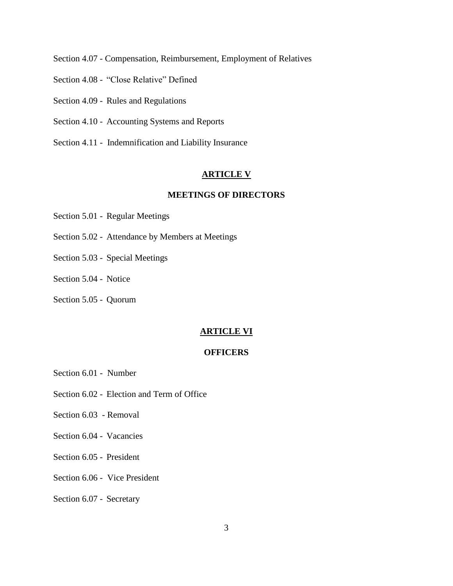Section 4.07 - Compensation, Reimbursement, Employment of Relatives

- Section 4.08 "Close Relative" Defined
- Section 4.09 Rules and Regulations
- Section 4.10 Accounting Systems and Reports
- Section 4.11 Indemnification and Liability Insurance

### **ARTICLE V**

# **MEETINGS OF DIRECTORS**

- Section 5.01 Regular Meetings
- Section 5.02 Attendance by Members at Meetings
- Section 5.03 Special Meetings
- Section 5.04 Notice
- Section 5.05 Quorum

# **ARTICLE VI**

# **OFFICERS**

- Section 6.01 Number
- Section 6.02 Election and Term of Office
- Section 6.03 Removal
- Section 6.04 Vacancies
- Section 6.05 President
- Section 6.06 Vice President
- Section 6.07 Secretary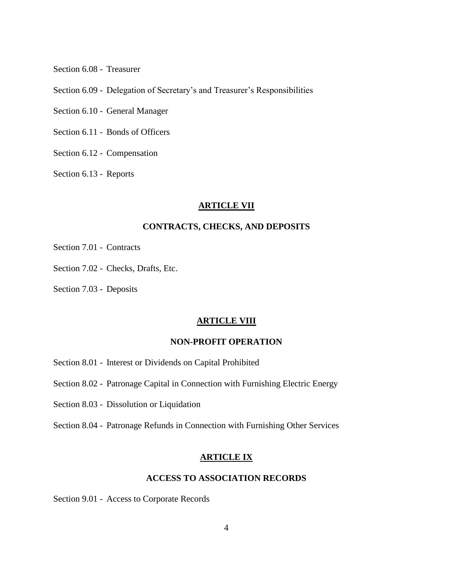Section 6.08 - Treasurer

Section 6.09 - Delegation of Secretary's and Treasurer's Responsibilities

Section 6.10 - General Manager

Section 6.11 - Bonds of Officers

Section 6.12 - Compensation

Section 6.13 - Reports

### **ARTICLE VII**

# **CONTRACTS, CHECKS, AND DEPOSITS**

- Section 7.01 Contracts
- Section 7.02 Checks, Drafts, Etc.
- Section 7.03 Deposits

### **ARTICLE VIII**

# **NON-PROFIT OPERATION**

- Section 8.01 Interest or Dividends on Capital Prohibited
- Section 8.02 Patronage Capital in Connection with Furnishing Electric Energy
- Section 8.03 Dissolution or Liquidation
- Section 8.04 Patronage Refunds in Connection with Furnishing Other Services

### **ARTICLE IX**

# **ACCESS TO ASSOCIATION RECORDS**

Section 9.01 - Access to Corporate Records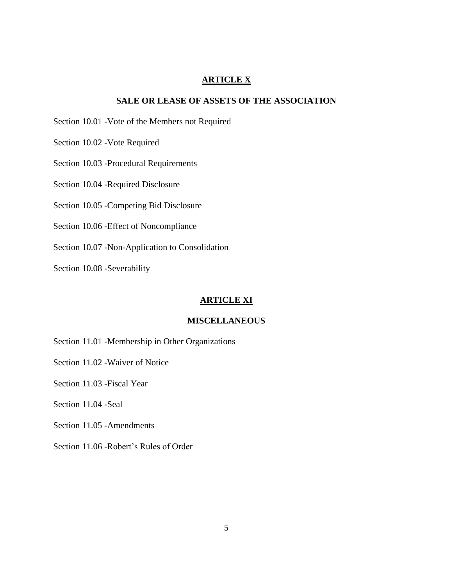# **ARTICLE X**

# **SALE OR LEASE OF ASSETS OF THE ASSOCIATION**

Section 10.01 -Vote of the Members not Required

Section 10.02 -Vote Required

Section 10.03 -Procedural Requirements

Section 10.04 -Required Disclosure

Section 10.05 -Competing Bid Disclosure

Section 10.06 -Effect of Noncompliance

Section 10.07 -Non-Application to Consolidation

Section 10.08 -Severability

### **ARTICLE XI**

### **MISCELLANEOUS**

Section 11.01 -Membership in Other Organizations

Section 11.02 -Waiver of Notice

Section 11.03 -Fiscal Year

Section 11.04 -Seal

Section 11.05 -Amendments

Section 11.06 -Robert's Rules of Order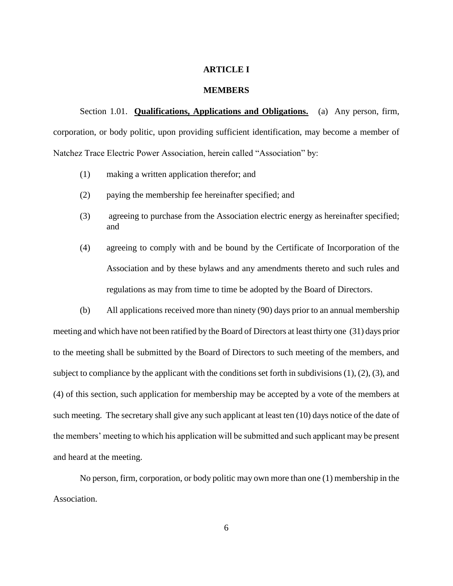# **ARTICLE I**

### **MEMBERS**

Section 1.01. **Qualifications, Applications and Obligations.** (a) Any person, firm, corporation, or body politic, upon providing sufficient identification, may become a member of Natchez Trace Electric Power Association, herein called "Association" by:

- (1) making a written application therefor; and
- (2) paying the membership fee hereinafter specified; and
- (3) agreeing to purchase from the Association electric energy as hereinafter specified; and
- (4) agreeing to comply with and be bound by the Certificate of Incorporation of the Association and by these bylaws and any amendments thereto and such rules and regulations as may from time to time be adopted by the Board of Directors.

(b) All applications received more than ninety (90) days prior to an annual membership meeting and which have not been ratified by the Board of Directors at least thirty one (31) days prior to the meeting shall be submitted by the Board of Directors to such meeting of the members, and subject to compliance by the applicant with the conditions set forth in subdivisions (1), (2), (3), and (4) of this section, such application for membership may be accepted by a vote of the members at such meeting. The secretary shall give any such applicant at least ten (10) days notice of the date of the members' meeting to which his application will be submitted and such applicant may be present and heard at the meeting.

No person, firm, corporation, or body politic may own more than one (1) membership in the Association.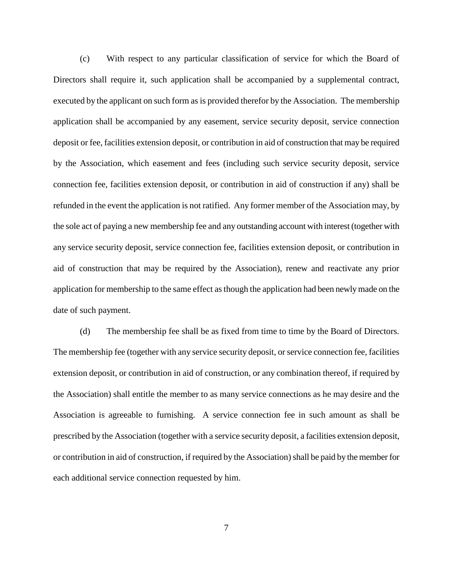(c) With respect to any particular classification of service for which the Board of Directors shall require it, such application shall be accompanied by a supplemental contract, executed by the applicant on such form as is provided therefor by the Association. The membership application shall be accompanied by any easement, service security deposit, service connection deposit or fee, facilities extension deposit, or contribution in aid of construction that may be required by the Association, which easement and fees (including such service security deposit, service connection fee, facilities extension deposit, or contribution in aid of construction if any) shall be refunded in the event the application is not ratified. Any former member of the Association may, by the sole act of paying a new membership fee and any outstanding account with interest (together with any service security deposit, service connection fee, facilities extension deposit, or contribution in aid of construction that may be required by the Association), renew and reactivate any prior application for membership to the same effect as though the application had been newly made on the date of such payment.

(d) The membership fee shall be as fixed from time to time by the Board of Directors. The membership fee (together with any service security deposit, or service connection fee, facilities extension deposit, or contribution in aid of construction, or any combination thereof, if required by the Association) shall entitle the member to as many service connections as he may desire and the Association is agreeable to furnishing. A service connection fee in such amount as shall be prescribed by the Association (together with a service security deposit, a facilities extension deposit, or contribution in aid of construction, if required by the Association) shall be paid by the member for each additional service connection requested by him.

7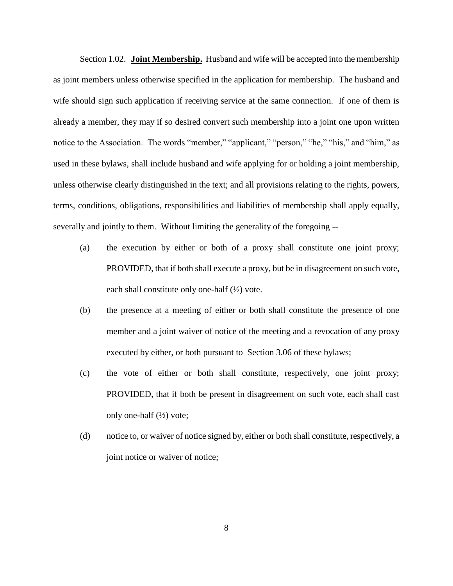Section 1.02. **Joint Membership.** Husband and wife will be accepted into the membership as joint members unless otherwise specified in the application for membership. The husband and wife should sign such application if receiving service at the same connection. If one of them is already a member, they may if so desired convert such membership into a joint one upon written notice to the Association. The words "member," "applicant," "person," "he," "his," and "him," as used in these bylaws, shall include husband and wife applying for or holding a joint membership, unless otherwise clearly distinguished in the text; and all provisions relating to the rights, powers, terms, conditions, obligations, responsibilities and liabilities of membership shall apply equally, severally and jointly to them. Without limiting the generality of the foregoing --

- (a) the execution by either or both of a proxy shall constitute one joint proxy; PROVIDED, that if both shall execute a proxy, but be in disagreement on such vote, each shall constitute only one-half  $(\frac{1}{2})$  vote.
- (b) the presence at a meeting of either or both shall constitute the presence of one member and a joint waiver of notice of the meeting and a revocation of any proxy executed by either, or both pursuant to Section 3.06 of these bylaws;
- (c) the vote of either or both shall constitute, respectively, one joint proxy; PROVIDED, that if both be present in disagreement on such vote, each shall cast only one-half  $(\frac{1}{2})$  vote;
- (d) notice to, or waiver of notice signed by, either or both shall constitute, respectively, a joint notice or waiver of notice;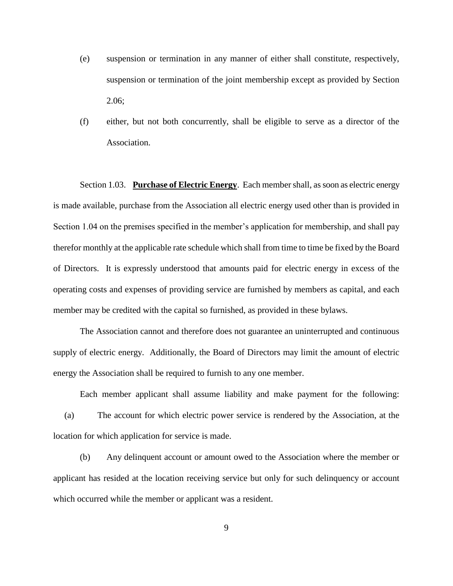- (e) suspension or termination in any manner of either shall constitute, respectively, suspension or termination of the joint membership except as provided by Section 2.06;
- (f) either, but not both concurrently, shall be eligible to serve as a director of the Association.

Section 1.03. **Purchase of Electric Energy**. Each member shall, as soon as electric energy is made available, purchase from the Association all electric energy used other than is provided in Section 1.04 on the premises specified in the member's application for membership, and shall pay therefor monthly at the applicable rate schedule which shall from time to time be fixed by the Board of Directors. It is expressly understood that amounts paid for electric energy in excess of the operating costs and expenses of providing service are furnished by members as capital, and each member may be credited with the capital so furnished, as provided in these bylaws.

The Association cannot and therefore does not guarantee an uninterrupted and continuous supply of electric energy. Additionally, the Board of Directors may limit the amount of electric energy the Association shall be required to furnish to any one member.

Each member applicant shall assume liability and make payment for the following: (a) The account for which electric power service is rendered by the Association, at the location for which application for service is made.

(b) Any delinquent account or amount owed to the Association where the member or applicant has resided at the location receiving service but only for such delinquency or account which occurred while the member or applicant was a resident.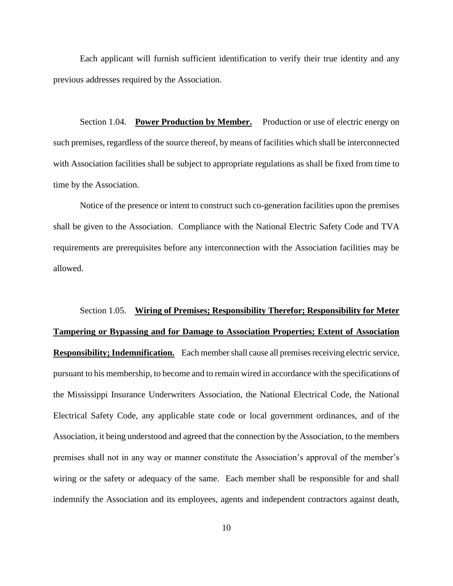Each applicant will furnish sufficient identification to verify their true identity and any previous addresses required by the Association.

Section 1.04. **Power Production by Member.** Production or use of electric energy on such premises, regardless of the source thereof, by means of facilities which shall be interconnected with Association facilities shall be subject to appropriate regulations as shall be fixed from time to time by the Association.

Notice of the presence or intent to construct such co-generation facilities upon the premises shall be given to the Association. Compliance with the National Electric Safety Code and TVA requirements are prerequisites before any interconnection with the Association facilities may be allowed.

Section 1.05. **Wiring of Premises; Responsibility Therefor; Responsibility for Meter Tampering or Bypassing and for Damage to Association Properties; Extent of Association Responsibility; Indemnification.** Each member shall cause all premises receiving electric service, pursuant to his membership, to become and to remain wired in accordance with the specifications of the Mississippi Insurance Underwriters Association, the National Electrical Code, the National Electrical Safety Code, any applicable state code or local government ordinances, and of the Association, it being understood and agreed that the connection by the Association, to the members premises shall not in any way or manner constitute the Association's approval of the member's wiring or the safety or adequacy of the same. Each member shall be responsible for and shall indemnify the Association and its employees, agents and independent contractors against death,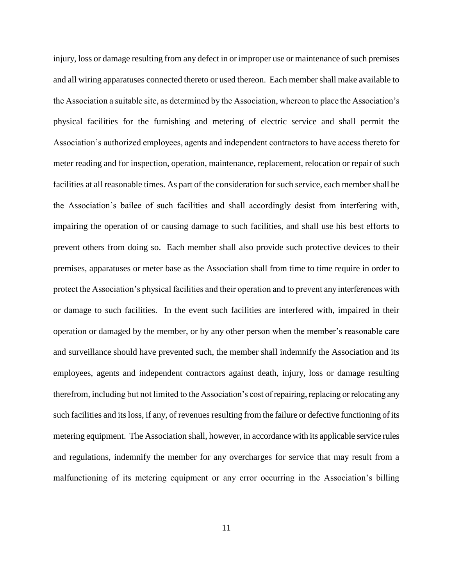injury, loss or damage resulting from any defect in or improper use or maintenance of such premises and all wiring apparatuses connected thereto or used thereon. Each member shall make available to the Association a suitable site, as determined by the Association, whereon to place the Association's physical facilities for the furnishing and metering of electric service and shall permit the Association's authorized employees, agents and independent contractors to have access thereto for meter reading and for inspection, operation, maintenance, replacement, relocation or repair of such facilities at all reasonable times. As part of the consideration for such service, each member shall be the Association's bailee of such facilities and shall accordingly desist from interfering with, impairing the operation of or causing damage to such facilities, and shall use his best efforts to prevent others from doing so. Each member shall also provide such protective devices to their premises, apparatuses or meter base as the Association shall from time to time require in order to protect the Association's physical facilities and their operation and to prevent any interferences with or damage to such facilities. In the event such facilities are interfered with, impaired in their operation or damaged by the member, or by any other person when the member's reasonable care and surveillance should have prevented such, the member shall indemnify the Association and its employees, agents and independent contractors against death, injury, loss or damage resulting therefrom, including but not limited to the Association's cost of repairing, replacing or relocating any such facilities and its loss, if any, of revenues resulting from the failure or defective functioning of its metering equipment. The Association shall, however, in accordance with its applicable service rules and regulations, indemnify the member for any overcharges for service that may result from a malfunctioning of its metering equipment or any error occurring in the Association's billing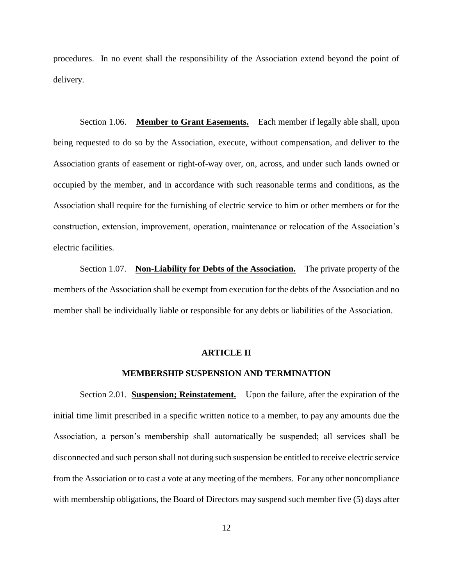procedures. In no event shall the responsibility of the Association extend beyond the point of delivery.

Section 1.06. **Member to Grant Easements.** Each member if legally able shall, upon being requested to do so by the Association, execute, without compensation, and deliver to the Association grants of easement or right-of-way over, on, across, and under such lands owned or occupied by the member, and in accordance with such reasonable terms and conditions, as the Association shall require for the furnishing of electric service to him or other members or for the construction, extension, improvement, operation, maintenance or relocation of the Association's electric facilities.

Section 1.07. **Non-Liability for Debts of the Association.** The private property of the members of the Association shall be exempt from execution for the debts of the Association and no member shall be individually liable or responsible for any debts or liabilities of the Association.

### **ARTICLE II**

### **MEMBERSHIP SUSPENSION AND TERMINATION**

Section 2.01. **Suspension; Reinstatement.** Upon the failure, after the expiration of the initial time limit prescribed in a specific written notice to a member, to pay any amounts due the Association, a person's membership shall automatically be suspended; all services shall be disconnected and such person shall not during such suspension be entitled to receive electric service from the Association or to cast a vote at any meeting of the members. For any other noncompliance with membership obligations, the Board of Directors may suspend such member five (5) days after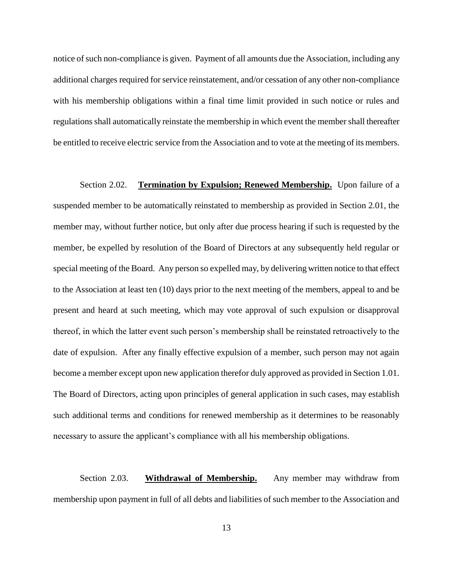notice of such non-compliance is given. Payment of all amounts due the Association, including any additional charges required for service reinstatement, and/or cessation of any other non-compliance with his membership obligations within a final time limit provided in such notice or rules and regulations shall automatically reinstate the membership in which event the member shall thereafter be entitled to receive electric service from the Association and to vote at the meeting of its members.

Section 2.02. **Termination by Expulsion; Renewed Membership.** Upon failure of a suspended member to be automatically reinstated to membership as provided in Section 2.01, the member may, without further notice, but only after due process hearing if such is requested by the member, be expelled by resolution of the Board of Directors at any subsequently held regular or special meeting of the Board. Any person so expelled may, by delivering written notice to that effect to the Association at least ten (10) days prior to the next meeting of the members, appeal to and be present and heard at such meeting, which may vote approval of such expulsion or disapproval thereof, in which the latter event such person's membership shall be reinstated retroactively to the date of expulsion. After any finally effective expulsion of a member, such person may not again become a member except upon new application therefor duly approved as provided in Section 1.01. The Board of Directors, acting upon principles of general application in such cases, may establish such additional terms and conditions for renewed membership as it determines to be reasonably necessary to assure the applicant's compliance with all his membership obligations.

Section 2.03. **Withdrawal of Membership.** Any member may withdraw from membership upon payment in full of all debts and liabilities of such member to the Association and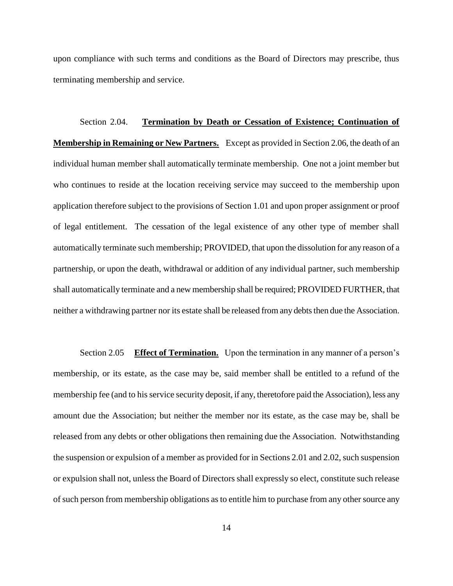upon compliance with such terms and conditions as the Board of Directors may prescribe, thus terminating membership and service.

Section 2.04. **Termination by Death or Cessation of Existence; Continuation of Membership in Remaining or New Partners.** Except as provided in Section 2.06, the death of an individual human member shall automatically terminate membership. One not a joint member but who continues to reside at the location receiving service may succeed to the membership upon application therefore subject to the provisions of Section 1.01 and upon proper assignment or proof of legal entitlement. The cessation of the legal existence of any other type of member shall automatically terminate such membership; PROVIDED, that upon the dissolution for any reason of a partnership, or upon the death, withdrawal or addition of any individual partner, such membership shall automatically terminate and a new membership shall be required; PROVIDED FURTHER, that neither a withdrawing partner nor its estate shall be released from any debts then due the Association.

Section 2.05 **Effect of Termination.** Upon the termination in any manner of a person's membership, or its estate, as the case may be, said member shall be entitled to a refund of the membership fee (and to his service security deposit, if any, theretofore paid the Association), less any amount due the Association; but neither the member nor its estate, as the case may be, shall be released from any debts or other obligations then remaining due the Association. Notwithstanding the suspension or expulsion of a member as provided for in Sections 2.01 and 2.02, such suspension or expulsion shall not, unless the Board of Directors shall expressly so elect, constitute such release of such person from membership obligations as to entitle him to purchase from any other source any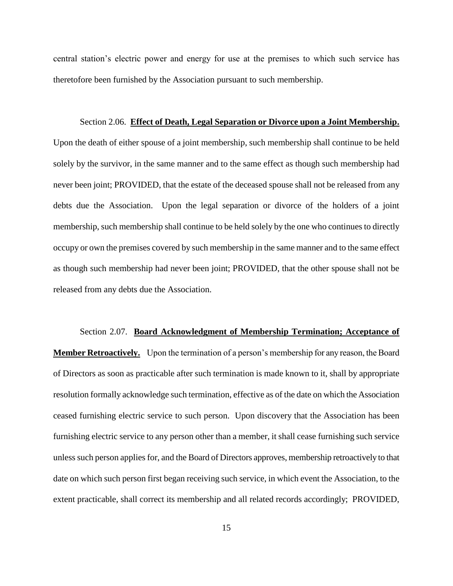central station's electric power and energy for use at the premises to which such service has theretofore been furnished by the Association pursuant to such membership.

Section 2.06. **Effect of Death, Legal Separation or Divorce upon a Joint Membership.** Upon the death of either spouse of a joint membership, such membership shall continue to be held solely by the survivor, in the same manner and to the same effect as though such membership had never been joint; PROVIDED, that the estate of the deceased spouse shall not be released from any debts due the Association. Upon the legal separation or divorce of the holders of a joint membership, such membership shall continue to be held solely by the one who continues to directly occupy or own the premises covered by such membership in the same manner and to the same effect as though such membership had never been joint; PROVIDED, that the other spouse shall not be released from any debts due the Association.

# Section 2.07. **Board Acknowledgment of Membership Termination; Acceptance of Member Retroactively.** Upon the termination of a person's membership for any reason, the Board of Directors as soon as practicable after such termination is made known to it, shall by appropriate resolution formally acknowledge such termination, effective as of the date on which the Association ceased furnishing electric service to such person. Upon discovery that the Association has been furnishing electric service to any person other than a member, it shall cease furnishing such service unless such person applies for, and the Board of Directors approves, membership retroactively to that date on which such person first began receiving such service, in which event the Association, to the extent practicable, shall correct its membership and all related records accordingly; PROVIDED,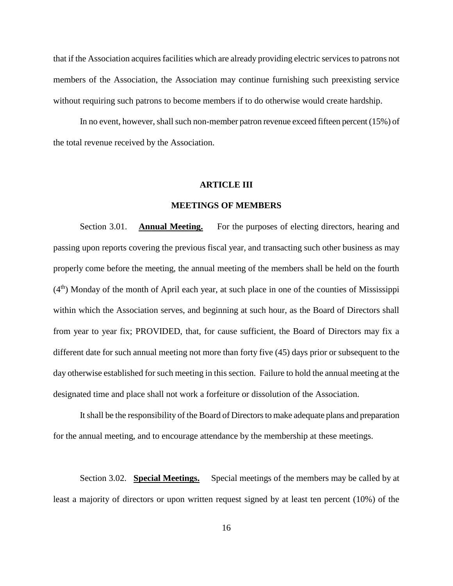that if the Association acquires facilities which are already providing electric services to patrons not members of the Association, the Association may continue furnishing such preexisting service without requiring such patrons to become members if to do otherwise would create hardship.

In no event, however, shall such non-member patron revenue exceed fifteen percent (15%) of the total revenue received by the Association.

## **ARTICLE III**

### **MEETINGS OF MEMBERS**

Section 3.01. **Annual Meeting.** For the purposes of electing directors, hearing and passing upon reports covering the previous fiscal year, and transacting such other business as may properly come before the meeting, the annual meeting of the members shall be held on the fourth  $(4<sup>th</sup>)$  Monday of the month of April each year, at such place in one of the counties of Mississippi within which the Association serves, and beginning at such hour, as the Board of Directors shall from year to year fix; PROVIDED, that, for cause sufficient, the Board of Directors may fix a different date for such annual meeting not more than forty five (45) days prior or subsequent to the day otherwise established for such meeting in this section. Failure to hold the annual meeting at the designated time and place shall not work a forfeiture or dissolution of the Association.

It shall be the responsibility of the Board of Directors to make adequate plans and preparation for the annual meeting, and to encourage attendance by the membership at these meetings.

Section 3.02. **Special Meetings.** Special meetings of the members may be called by at least a majority of directors or upon written request signed by at least ten percent (10%) of the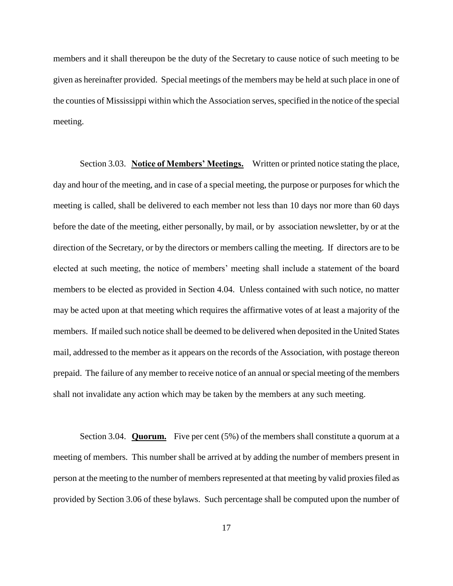members and it shall thereupon be the duty of the Secretary to cause notice of such meeting to be given as hereinafter provided. Special meetings of the members may be held at such place in one of the counties of Mississippi within which the Association serves, specified in the notice of the special meeting.

Section 3.03. **Notice of Members' Meetings.** Written or printed notice stating the place, day and hour of the meeting, and in case of a special meeting, the purpose or purposes for which the meeting is called, shall be delivered to each member not less than 10 days nor more than 60 days before the date of the meeting, either personally, by mail, or by association newsletter, by or at the direction of the Secretary, or by the directors or members calling the meeting. If directors are to be elected at such meeting, the notice of members' meeting shall include a statement of the board members to be elected as provided in Section 4.04. Unless contained with such notice, no matter may be acted upon at that meeting which requires the affirmative votes of at least a majority of the members. If mailed such notice shall be deemed to be delivered when deposited in the United States mail, addressed to the member as it appears on the records of the Association, with postage thereon prepaid. The failure of any member to receive notice of an annual or special meeting of the members shall not invalidate any action which may be taken by the members at any such meeting.

Section 3.04. **Quorum.** Five per cent (5%) of the members shall constitute a quorum at a meeting of members. This number shall be arrived at by adding the number of members present in person at the meeting to the number of members represented at that meeting by valid proxies filed as provided by Section 3.06 of these bylaws. Such percentage shall be computed upon the number of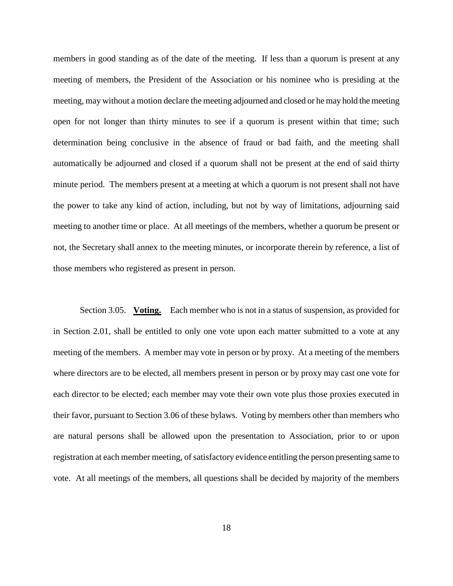members in good standing as of the date of the meeting. If less than a quorum is present at any meeting of members, the President of the Association or his nominee who is presiding at the meeting, may without a motion declare the meeting adjourned and closed or he may hold the meeting open for not longer than thirty minutes to see if a quorum is present within that time; such determination being conclusive in the absence of fraud or bad faith, and the meeting shall automatically be adjourned and closed if a quorum shall not be present at the end of said thirty minute period. The members present at a meeting at which a quorum is not present shall not have the power to take any kind of action, including, but not by way of limitations, adjourning said meeting to another time or place. At all meetings of the members, whether a quorum be present or not, the Secretary shall annex to the meeting minutes, or incorporate therein by reference, a list of those members who registered as present in person.

Section 3.05. **Voting.** Each member who is not in a status of suspension, as provided for in Section 2.01, shall be entitled to only one vote upon each matter submitted to a vote at any meeting of the members. A member may vote in person or by proxy. At a meeting of the members where directors are to be elected, all members present in person or by proxy may cast one vote for each director to be elected; each member may vote their own vote plus those proxies executed in their favor, pursuant to Section 3.06 of these bylaws. Voting by members other than members who are natural persons shall be allowed upon the presentation to Association, prior to or upon registration at each member meeting, of satisfactory evidence entitling the person presenting same to vote. At all meetings of the members, all questions shall be decided by majority of the members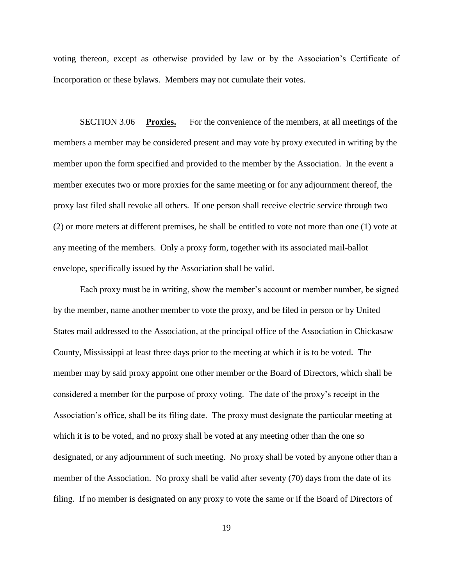voting thereon, except as otherwise provided by law or by the Association's Certificate of Incorporation or these bylaws. Members may not cumulate their votes.

SECTION 3.06 **Proxies.** For the convenience of the members, at all meetings of the members a member may be considered present and may vote by proxy executed in writing by the member upon the form specified and provided to the member by the Association. In the event a member executes two or more proxies for the same meeting or for any adjournment thereof, the proxy last filed shall revoke all others. If one person shall receive electric service through two (2) or more meters at different premises, he shall be entitled to vote not more than one (1) vote at any meeting of the members. Only a proxy form, together with its associated mail-ballot envelope, specifically issued by the Association shall be valid.

Each proxy must be in writing, show the member's account or member number, be signed by the member, name another member to vote the proxy, and be filed in person or by United States mail addressed to the Association, at the principal office of the Association in Chickasaw County, Mississippi at least three days prior to the meeting at which it is to be voted. The member may by said proxy appoint one other member or the Board of Directors, which shall be considered a member for the purpose of proxy voting. The date of the proxy's receipt in the Association's office, shall be its filing date. The proxy must designate the particular meeting at which it is to be voted, and no proxy shall be voted at any meeting other than the one so designated, or any adjournment of such meeting. No proxy shall be voted by anyone other than a member of the Association. No proxy shall be valid after seventy (70) days from the date of its filing. If no member is designated on any proxy to vote the same or if the Board of Directors of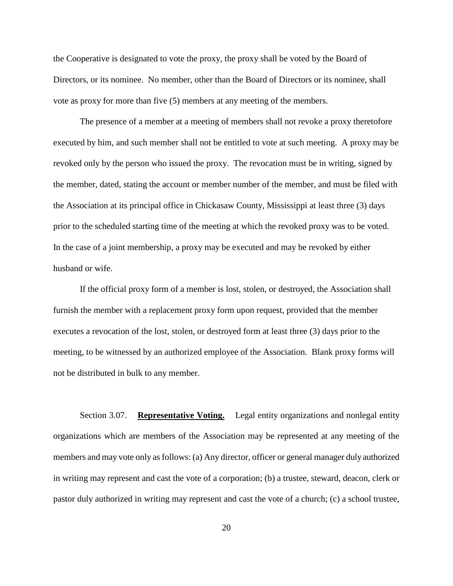the Cooperative is designated to vote the proxy, the proxy shall be voted by the Board of Directors, or its nominee. No member, other than the Board of Directors or its nominee, shall vote as proxy for more than five (5) members at any meeting of the members.

The presence of a member at a meeting of members shall not revoke a proxy theretofore executed by him, and such member shall not be entitled to vote at such meeting. A proxy may be revoked only by the person who issued the proxy. The revocation must be in writing, signed by the member, dated, stating the account or member number of the member, and must be filed with the Association at its principal office in Chickasaw County, Mississippi at least three (3) days prior to the scheduled starting time of the meeting at which the revoked proxy was to be voted. In the case of a joint membership, a proxy may be executed and may be revoked by either husband or wife.

If the official proxy form of a member is lost, stolen, or destroyed, the Association shall furnish the member with a replacement proxy form upon request, provided that the member executes a revocation of the lost, stolen, or destroyed form at least three (3) days prior to the meeting, to be witnessed by an authorized employee of the Association. Blank proxy forms will not be distributed in bulk to any member.

Section 3.07. **Representative Voting.** Legal entity organizations and nonlegal entity organizations which are members of the Association may be represented at any meeting of the members and may vote only as follows: (a) Any director, officer or general manager duly authorized in writing may represent and cast the vote of a corporation; (b) a trustee, steward, deacon, clerk or pastor duly authorized in writing may represent and cast the vote of a church; (c) a school trustee,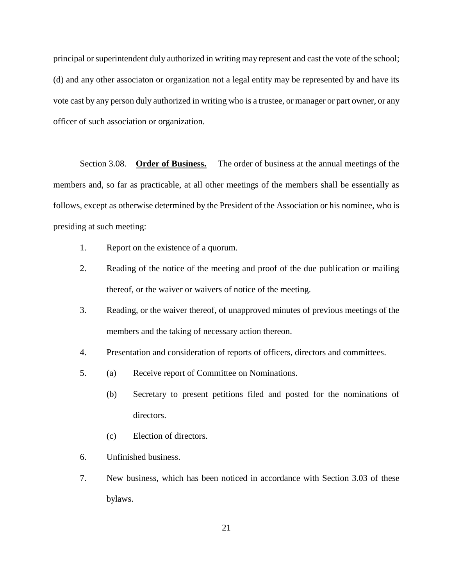principal or superintendent duly authorized in writing may represent and cast the vote of the school; (d) and any other associaton or organization not a legal entity may be represented by and have its vote cast by any person duly authorized in writing who is a trustee, or manager or part owner, or any officer of such association or organization.

Section 3.08. **Order of Business.** The order of business at the annual meetings of the members and, so far as practicable, at all other meetings of the members shall be essentially as follows, except as otherwise determined by the President of the Association or his nominee, who is presiding at such meeting:

- 1. Report on the existence of a quorum.
- 2. Reading of the notice of the meeting and proof of the due publication or mailing thereof, or the waiver or waivers of notice of the meeting.
- 3. Reading, or the waiver thereof, of unapproved minutes of previous meetings of the members and the taking of necessary action thereon.
- 4. Presentation and consideration of reports of officers, directors and committees.
- 5. (a) Receive report of Committee on Nominations.
	- (b) Secretary to present petitions filed and posted for the nominations of directors.
	- (c) Election of directors.
- 6. Unfinished business.
- 7. New business, which has been noticed in accordance with Section 3.03 of these bylaws.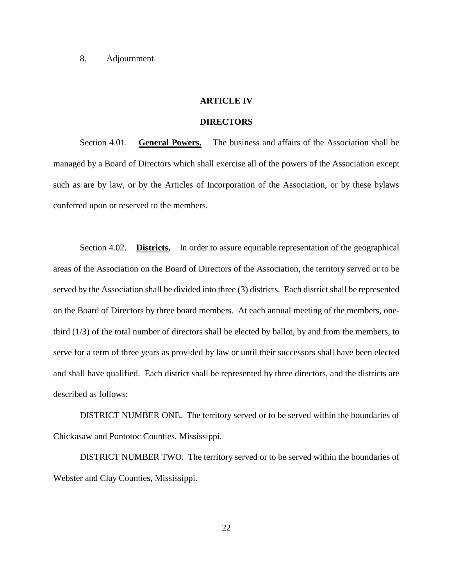8. Adjournment.

### **ARTICLE IV**

# **DIRECTORS**

Section 4.01. **General Powers.** The business and affairs of the Association shall be managed by a Board of Directors which shall exercise all of the powers of the Association except such as are by law, or by the Articles of Incorporation of the Association, or by these bylaws conferred upon or reserved to the members.

Section 4.02. **Districts.** In order to assure equitable representation of the geographical areas of the Association on the Board of Directors of the Association, the territory served or to be served by the Association shall be divided into three (3) districts. Each district shall be represented on the Board of Directors by three board members. At each annual meeting of the members, onethird (1/3) of the total number of directors shall be elected by ballot, by and from the members, to serve for a term of three years as provided by law or until their successors shall have been elected and shall have qualified. Each district shall be represented by three directors, and the districts are described as follows:

DISTRICT NUMBER ONE. The territory served or to be served within the boundaries of Chickasaw and Pontotoc Counties, Mississippi.

DISTRICT NUMBER TWO. The territory served or to be served within the boundaries of Webster and Clay Counties, Mississippi.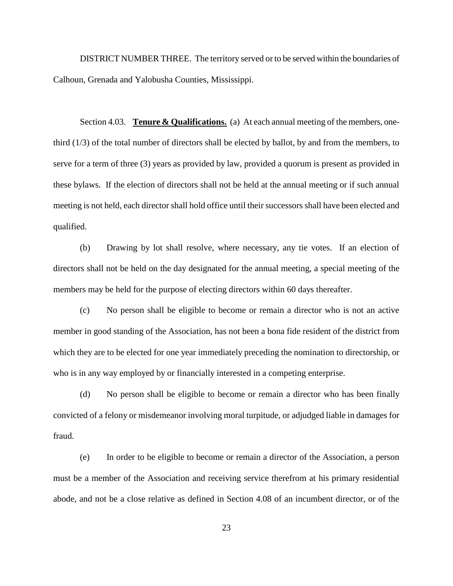DISTRICT NUMBER THREE. The territory served or to be served within the boundaries of Calhoun, Grenada and Yalobusha Counties, Mississippi.

Section 4.03. **Tenure & Qualifications.** (a) At each annual meeting of the members, onethird (1/3) of the total number of directors shall be elected by ballot, by and from the members, to serve for a term of three (3) years as provided by law, provided a quorum is present as provided in these bylaws. If the election of directors shall not be held at the annual meeting or if such annual meeting is not held, each director shall hold office until their successors shall have been elected and qualified.

(b) Drawing by lot shall resolve, where necessary, any tie votes. If an election of directors shall not be held on the day designated for the annual meeting, a special meeting of the members may be held for the purpose of electing directors within 60 days thereafter.

(c) No person shall be eligible to become or remain a director who is not an active member in good standing of the Association, has not been a bona fide resident of the district from which they are to be elected for one year immediately preceding the nomination to directorship, or who is in any way employed by or financially interested in a competing enterprise.

(d) No person shall be eligible to become or remain a director who has been finally convicted of a felony or misdemeanor involving moral turpitude, or adjudged liable in damages for fraud.

(e) In order to be eligible to become or remain a director of the Association, a person must be a member of the Association and receiving service therefrom at his primary residential abode, and not be a close relative as defined in Section 4.08 of an incumbent director, or of the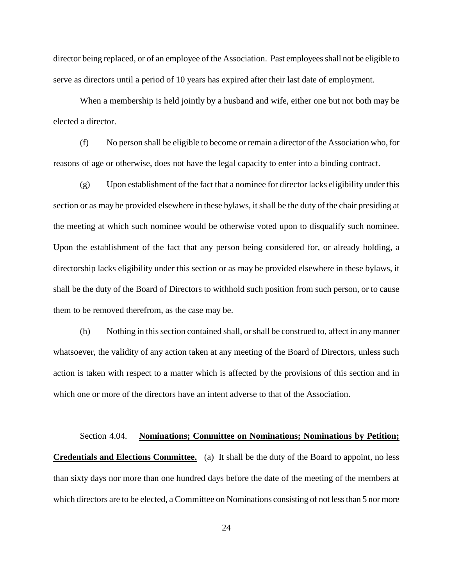director being replaced, or of an employee of the Association. Past employees shall not be eligible to serve as directors until a period of 10 years has expired after their last date of employment.

When a membership is held jointly by a husband and wife, either one but not both may be elected a director.

(f) No person shall be eligible to become or remain a director of the Association who, for reasons of age or otherwise, does not have the legal capacity to enter into a binding contract.

(g) Upon establishment of the fact that a nominee for director lacks eligibility under this section or as may be provided elsewhere in these bylaws, it shall be the duty of the chair presiding at the meeting at which such nominee would be otherwise voted upon to disqualify such nominee. Upon the establishment of the fact that any person being considered for, or already holding, a directorship lacks eligibility under this section or as may be provided elsewhere in these bylaws, it shall be the duty of the Board of Directors to withhold such position from such person, or to cause them to be removed therefrom, as the case may be.

(h) Nothing in this section contained shall, or shall be construed to, affect in any manner whatsoever, the validity of any action taken at any meeting of the Board of Directors, unless such action is taken with respect to a matter which is affected by the provisions of this section and in which one or more of the directors have an intent adverse to that of the Association.

Section 4.04. **Nominations; Committee on Nominations; Nominations by Petition; Credentials and Elections Committee.** (a) It shall be the duty of the Board to appoint, no less than sixty days nor more than one hundred days before the date of the meeting of the members at which directors are to be elected, a Committee on Nominations consisting of not less than 5 nor more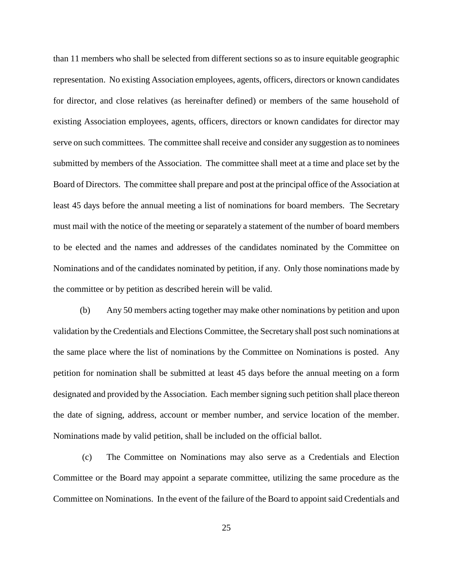than 11 members who shall be selected from different sections so as to insure equitable geographic representation. No existing Association employees, agents, officers, directors or known candidates for director, and close relatives (as hereinafter defined) or members of the same household of existing Association employees, agents, officers, directors or known candidates for director may serve on such committees. The committee shall receive and consider any suggestion as to nominees submitted by members of the Association. The committee shall meet at a time and place set by the Board of Directors. The committee shall prepare and post at the principal office of the Association at least 45 days before the annual meeting a list of nominations for board members. The Secretary must mail with the notice of the meeting or separately a statement of the number of board members to be elected and the names and addresses of the candidates nominated by the Committee on Nominations and of the candidates nominated by petition, if any. Only those nominations made by the committee or by petition as described herein will be valid.

(b) Any 50 members acting together may make other nominations by petition and upon validation by the Credentials and Elections Committee, the Secretary shall post such nominations at the same place where the list of nominations by the Committee on Nominations is posted. Any petition for nomination shall be submitted at least 45 days before the annual meeting on a form designated and provided by the Association. Each member signing such petition shall place thereon the date of signing, address, account or member number, and service location of the member. Nominations made by valid petition, shall be included on the official ballot.

(c) The Committee on Nominations may also serve as a Credentials and Election Committee or the Board may appoint a separate committee, utilizing the same procedure as the Committee on Nominations. In the event of the failure of the Board to appoint said Credentials and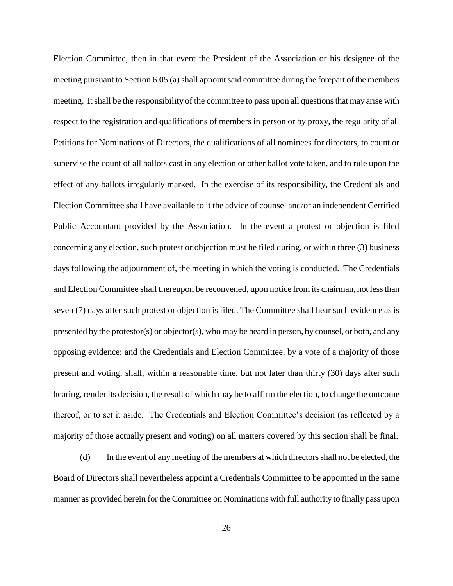Election Committee, then in that event the President of the Association or his designee of the meeting pursuant to Section 6.05 (a) shall appoint said committee during the forepart of the members meeting. It shall be the responsibility of the committee to pass upon all questions that may arise with respect to the registration and qualifications of members in person or by proxy, the regularity of all Petitions for Nominations of Directors, the qualifications of all nominees for directors, to count or supervise the count of all ballots cast in any election or other ballot vote taken, and to rule upon the effect of any ballots irregularly marked. In the exercise of its responsibility, the Credentials and Election Committee shall have available to it the advice of counsel and/or an independent Certified Public Accountant provided by the Association. In the event a protest or objection is filed concerning any election, such protest or objection must be filed during, or within three (3) business days following the adjournment of, the meeting in which the voting is conducted. The Credentials and Election Committee shall thereupon be reconvened, upon notice from its chairman, not less than seven (7) days after such protest or objection is filed. The Committee shall hear such evidence as is presented by the protestor(s) or objector(s), who may be heard in person, by counsel, or both, and any opposing evidence; and the Credentials and Election Committee, by a vote of a majority of those present and voting, shall, within a reasonable time, but not later than thirty (30) days after such hearing, render its decision, the result of which may be to affirm the election, to change the outcome thereof, or to set it aside. The Credentials and Election Committee's decision (as reflected by a majority of those actually present and voting) on all matters covered by this section shall be final.

(d) In the event of any meeting of the members at which directors shall not be elected, the Board of Directors shall nevertheless appoint a Credentials Committee to be appointed in the same manner as provided herein for the Committee on Nominations with full authority to finally pass upon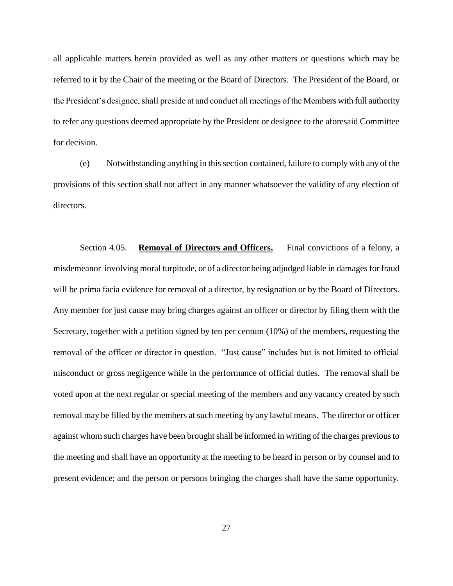all applicable matters herein provided as well as any other matters or questions which may be referred to it by the Chair of the meeting or the Board of Directors. The President of the Board, or the President's designee, shall preside at and conduct all meetings of the Members with full authority to refer any questions deemed appropriate by the President or designee to the aforesaid Committee for decision.

(e) Notwithstanding anything in this section contained, failure to comply with any of the provisions of this section shall not affect in any manner whatsoever the validity of any election of directors.

Section 4.05. **Removal of Directors and Officers.** Final convictions of a felony, a misdemeanor involving moral turpitude, or of a director being adjudged liable in damages for fraud will be prima facia evidence for removal of a director, by resignation or by the Board of Directors. Any member for just cause may bring charges against an officer or director by filing them with the Secretary, together with a petition signed by ten per centum (10%) of the members, requesting the removal of the officer or director in question. "Just cause" includes but is not limited to official misconduct or gross negligence while in the performance of official duties. The removal shall be voted upon at the next regular or special meeting of the members and any vacancy created by such removal may be filled by the members at such meeting by any lawful means. The director or officer against whom such charges have been brought shall be informed in writing of the charges previous to the meeting and shall have an opportunity at the meeting to be heard in person or by counsel and to present evidence; and the person or persons bringing the charges shall have the same opportunity.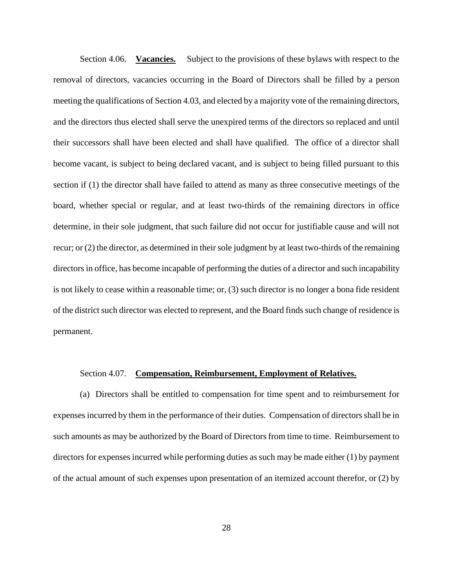Section 4.06. **Vacancies.** Subject to the provisions of these bylaws with respect to the removal of directors, vacancies occurring in the Board of Directors shall be filled by a person meeting the qualifications of Section 4.03, and elected by a majority vote of the remaining directors, and the directors thus elected shall serve the unexpired terms of the directors so replaced and until their successors shall have been elected and shall have qualified. The office of a director shall become vacant, is subject to being declared vacant, and is subject to being filled pursuant to this section if (1) the director shall have failed to attend as many as three consecutive meetings of the board, whether special or regular, and at least two-thirds of the remaining directors in office determine, in their sole judgment, that such failure did not occur for justifiable cause and will not recur; or (2) the director, as determined in their sole judgment by at least two-thirds of the remaining directors in office, has become incapable of performing the duties of a director and such incapability is not likely to cease within a reasonable time; or, (3) such director is no longer a bona fide resident of the district such director was elected to represent, and the Board finds such change of residence is permanent.

### Section 4.07. **Compensation, Reimbursement, Employment of Relatives.**

(a) Directors shall be entitled to compensation for time spent and to reimbursement for expenses incurred by them in the performance of their duties. Compensation of directors shall be in such amounts as may be authorized by the Board of Directors from time to time. Reimbursement to directors for expenses incurred while performing duties as such may be made either (1) by payment of the actual amount of such expenses upon presentation of an itemized account therefor, or (2) by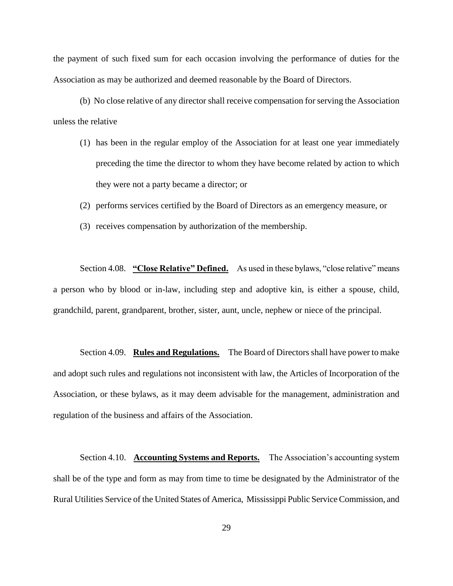the payment of such fixed sum for each occasion involving the performance of duties for the Association as may be authorized and deemed reasonable by the Board of Directors.

(b) No close relative of any director shall receive compensation for serving the Association unless the relative

- (1) has been in the regular employ of the Association for at least one year immediately preceding the time the director to whom they have become related by action to which they were not a party became a director; or
- (2) performs services certified by the Board of Directors as an emergency measure, or
- (3) receives compensation by authorization of the membership.

Section 4.08. **"Close Relative" Defined.** As used in these bylaws, "close relative" means a person who by blood or in-law, including step and adoptive kin, is either a spouse, child, grandchild, parent, grandparent, brother, sister, aunt, uncle, nephew or niece of the principal.

Section 4.09. **Rules and Regulations.** The Board of Directors shall have power to make and adopt such rules and regulations not inconsistent with law, the Articles of Incorporation of the Association, or these bylaws, as it may deem advisable for the management, administration and regulation of the business and affairs of the Association.

Section 4.10. **Accounting Systems and Reports.** The Association's accounting system shall be of the type and form as may from time to time be designated by the Administrator of the Rural Utilities Service of the United States of America, Mississippi Public Service Commission, and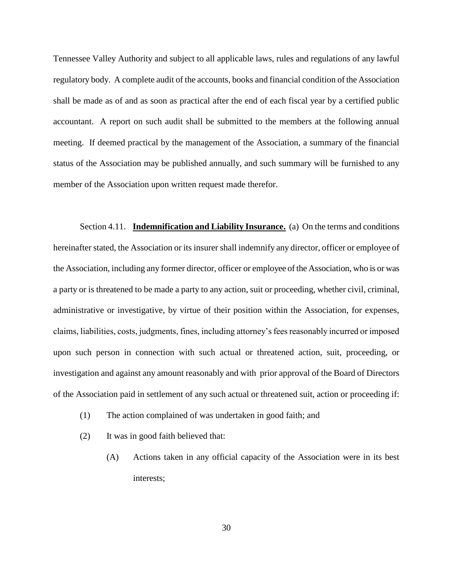Tennessee Valley Authority and subject to all applicable laws, rules and regulations of any lawful regulatory body. A complete audit of the accounts, books and financial condition of the Association shall be made as of and as soon as practical after the end of each fiscal year by a certified public accountant. A report on such audit shall be submitted to the members at the following annual meeting. If deemed practical by the management of the Association, a summary of the financial status of the Association may be published annually, and such summary will be furnished to any member of the Association upon written request made therefor.

Section 4.11. **Indemnification and Liability Insurance.** (a) On the terms and conditions hereinafter stated, the Association or its insurer shall indemnify any director, officer or employee of the Association, including any former director, officer or employee of the Association, who is or was a party or is threatened to be made a party to any action, suit or proceeding, whether civil, criminal, administrative or investigative, by virtue of their position within the Association, for expenses, claims, liabilities, costs, judgments, fines, including attorney's fees reasonably incurred or imposed upon such person in connection with such actual or threatened action, suit, proceeding, or investigation and against any amount reasonably and with prior approval of the Board of Directors of the Association paid in settlement of any such actual or threatened suit, action or proceeding if:

- (1) The action complained of was undertaken in good faith; and
- (2) It was in good faith believed that:
	- (A) Actions taken in any official capacity of the Association were in its best interests;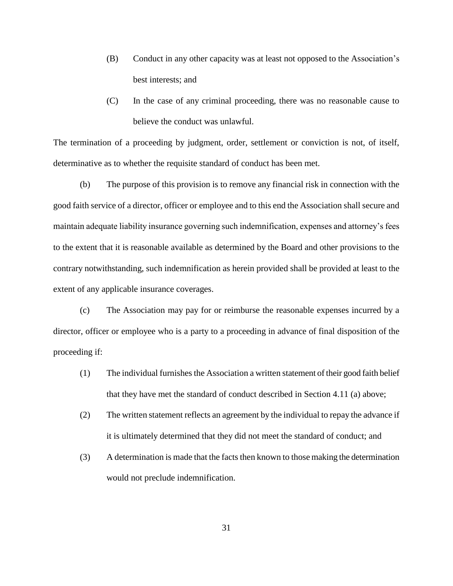- (B) Conduct in any other capacity was at least not opposed to the Association's best interests; and
- (C) In the case of any criminal proceeding, there was no reasonable cause to believe the conduct was unlawful.

The termination of a proceeding by judgment, order, settlement or conviction is not, of itself, determinative as to whether the requisite standard of conduct has been met.

(b) The purpose of this provision is to remove any financial risk in connection with the good faith service of a director, officer or employee and to this end the Association shall secure and maintain adequate liability insurance governing such indemnification, expenses and attorney's fees to the extent that it is reasonable available as determined by the Board and other provisions to the contrary notwithstanding, such indemnification as herein provided shall be provided at least to the extent of any applicable insurance coverages.

(c) The Association may pay for or reimburse the reasonable expenses incurred by a director, officer or employee who is a party to a proceeding in advance of final disposition of the proceeding if:

- (1) The individual furnishes the Association a written statement of their good faith belief that they have met the standard of conduct described in Section 4.11 (a) above;
- (2) The written statement reflects an agreement by the individual to repay the advance if it is ultimately determined that they did not meet the standard of conduct; and
- (3) A determination is made that the facts then known to those making the determination would not preclude indemnification.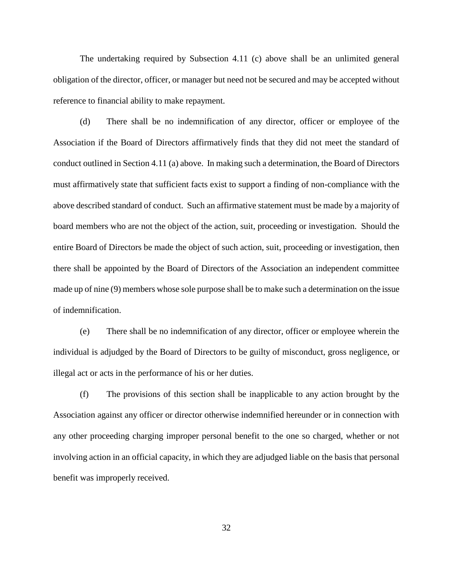The undertaking required by Subsection 4.11 (c) above shall be an unlimited general obligation of the director, officer, or manager but need not be secured and may be accepted without reference to financial ability to make repayment.

(d) There shall be no indemnification of any director, officer or employee of the Association if the Board of Directors affirmatively finds that they did not meet the standard of conduct outlined in Section 4.11 (a) above. In making such a determination, the Board of Directors must affirmatively state that sufficient facts exist to support a finding of non-compliance with the above described standard of conduct. Such an affirmative statement must be made by a majority of board members who are not the object of the action, suit, proceeding or investigation. Should the entire Board of Directors be made the object of such action, suit, proceeding or investigation, then there shall be appointed by the Board of Directors of the Association an independent committee made up of nine (9) members whose sole purpose shall be to make such a determination on the issue of indemnification.

(e) There shall be no indemnification of any director, officer or employee wherein the individual is adjudged by the Board of Directors to be guilty of misconduct, gross negligence, or illegal act or acts in the performance of his or her duties.

(f) The provisions of this section shall be inapplicable to any action brought by the Association against any officer or director otherwise indemnified hereunder or in connection with any other proceeding charging improper personal benefit to the one so charged, whether or not involving action in an official capacity, in which they are adjudged liable on the basis that personal benefit was improperly received.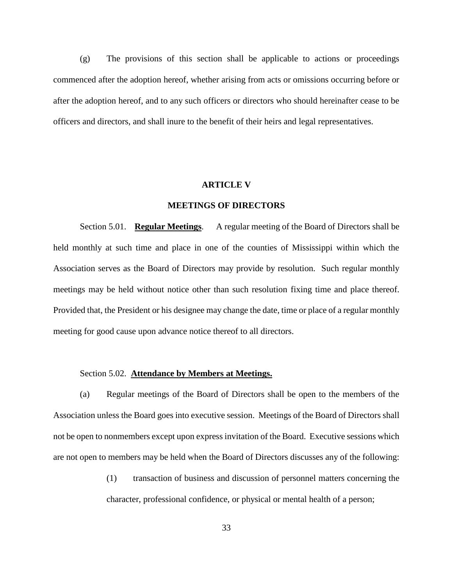(g) The provisions of this section shall be applicable to actions or proceedings commenced after the adoption hereof, whether arising from acts or omissions occurring before or after the adoption hereof, and to any such officers or directors who should hereinafter cease to be officers and directors, and shall inure to the benefit of their heirs and legal representatives.

## **ARTICLE V**

# **MEETINGS OF DIRECTORS**

Section 5.01. **Regular Meetings**. A regular meeting of the Board of Directors shall be held monthly at such time and place in one of the counties of Mississippi within which the Association serves as the Board of Directors may provide by resolution. Such regular monthly meetings may be held without notice other than such resolution fixing time and place thereof. Provided that, the President or his designee may change the date, time or place of a regular monthly meeting for good cause upon advance notice thereof to all directors.

### Section 5.02. **Attendance by Members at Meetings.**

(a) Regular meetings of the Board of Directors shall be open to the members of the Association unless the Board goes into executive session. Meetings of the Board of Directors shall not be open to nonmembers except upon express invitation of the Board. Executive sessions which are not open to members may be held when the Board of Directors discusses any of the following:

> (1) transaction of business and discussion of personnel matters concerning the character, professional confidence, or physical or mental health of a person;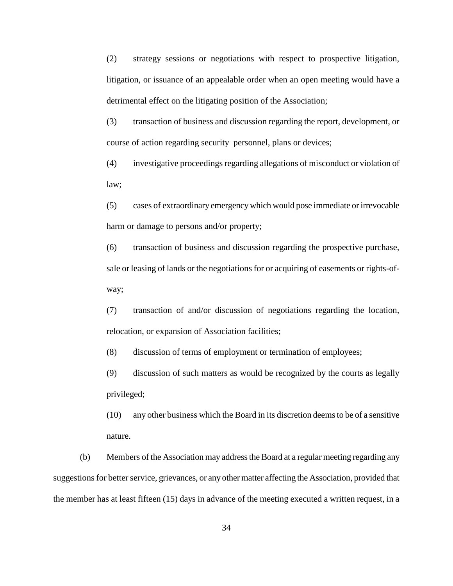(2) strategy sessions or negotiations with respect to prospective litigation, litigation, or issuance of an appealable order when an open meeting would have a detrimental effect on the litigating position of the Association;

(3) transaction of business and discussion regarding the report, development, or course of action regarding security personnel, plans or devices;

(4) investigative proceedings regarding allegations of misconduct or violation of law;

(5) cases of extraordinary emergency which would pose immediate or irrevocable harm or damage to persons and/or property;

(6) transaction of business and discussion regarding the prospective purchase, sale or leasing of lands or the negotiations for or acquiring of easements or rights-ofway;

(7) transaction of and/or discussion of negotiations regarding the location, relocation, or expansion of Association facilities;

(8) discussion of terms of employment or termination of employees;

(9) discussion of such matters as would be recognized by the courts as legally privileged;

(10) any other business which the Board in its discretion deems to be of a sensitive nature.

(b) Members of the Association may address the Board at a regular meeting regarding any suggestions for better service, grievances, or any other matter affecting the Association, provided that the member has at least fifteen (15) days in advance of the meeting executed a written request, in a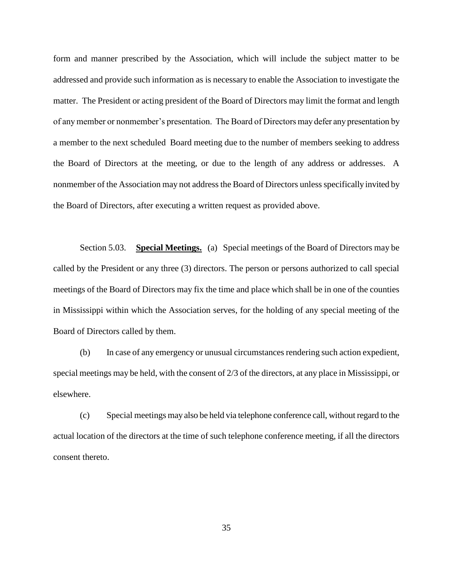form and manner prescribed by the Association, which will include the subject matter to be addressed and provide such information as is necessary to enable the Association to investigate the matter. The President or acting president of the Board of Directors may limit the format and length of any member or nonmember's presentation. The Board of Directors may defer any presentation by a member to the next scheduled Board meeting due to the number of members seeking to address the Board of Directors at the meeting, or due to the length of any address or addresses. A nonmember of the Association may not address the Board of Directors unless specifically invited by the Board of Directors, after executing a written request as provided above.

Section 5.03. **Special Meetings.** (a) Special meetings of the Board of Directors may be called by the President or any three (3) directors. The person or persons authorized to call special meetings of the Board of Directors may fix the time and place which shall be in one of the counties in Mississippi within which the Association serves, for the holding of any special meeting of the Board of Directors called by them.

(b) In case of any emergency or unusual circumstances rendering such action expedient, special meetings may be held, with the consent of 2/3 of the directors, at any place in Mississippi, or elsewhere.

(c) Special meetings may also be held via telephone conference call, without regard to the actual location of the directors at the time of such telephone conference meeting, if all the directors consent thereto.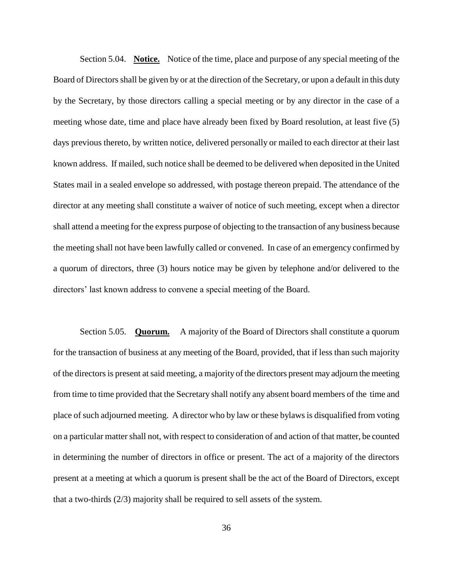Section 5.04. **Notice.** Notice of the time, place and purpose of any special meeting of the Board of Directors shall be given by or at the direction of the Secretary, or upon a default in this duty by the Secretary, by those directors calling a special meeting or by any director in the case of a meeting whose date, time and place have already been fixed by Board resolution, at least five (5) days previous thereto, by written notice, delivered personally or mailed to each director at their last known address. If mailed, such notice shall be deemed to be delivered when deposited in the United States mail in a sealed envelope so addressed, with postage thereon prepaid. The attendance of the director at any meeting shall constitute a waiver of notice of such meeting, except when a director shall attend a meeting for the express purpose of objecting to the transaction of any business because the meeting shall not have been lawfully called or convened. In case of an emergency confirmed by a quorum of directors, three (3) hours notice may be given by telephone and/or delivered to the directors' last known address to convene a special meeting of the Board.

Section 5.05. **Quorum.** A majority of the Board of Directors shall constitute a quorum for the transaction of business at any meeting of the Board, provided, that if less than such majority of the directors is present at said meeting, a majority of the directors present may adjourn the meeting from time to time provided that the Secretary shall notify any absent board members of the time and place of such adjourned meeting. A director who by law or these bylaws is disqualified from voting on a particular matter shall not, with respect to consideration of and action of that matter, be counted in determining the number of directors in office or present. The act of a majority of the directors present at a meeting at which a quorum is present shall be the act of the Board of Directors, except that a two-thirds (2/3) majority shall be required to sell assets of the system.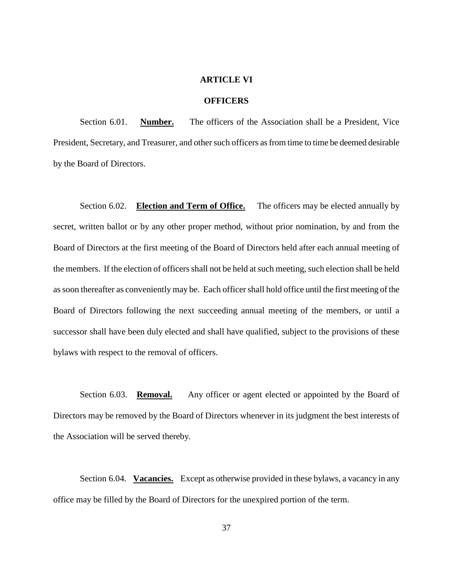### **ARTICLE VI**

# **OFFICERS**

Section 6.01. **Number.** The officers of the Association shall be a President, Vice President, Secretary, and Treasurer, and other such officers as from time to time be deemed desirable by the Board of Directors.

Section 6.02. **Election and Term of Office.** The officers may be elected annually by secret, written ballot or by any other proper method, without prior nomination, by and from the Board of Directors at the first meeting of the Board of Directors held after each annual meeting of the members. If the election of officers shall not be held at such meeting, such election shall be held as soon thereafter as conveniently may be. Each officer shall hold office until the first meeting of the Board of Directors following the next succeeding annual meeting of the members, or until a successor shall have been duly elected and shall have qualified, subject to the provisions of these bylaws with respect to the removal of officers.

Section 6.03. **Removal.** Any officer or agent elected or appointed by the Board of Directors may be removed by the Board of Directors whenever in its judgment the best interests of the Association will be served thereby.

Section 6.04. **Vacancies.** Except as otherwise provided in these bylaws, a vacancy in any office may be filled by the Board of Directors for the unexpired portion of the term.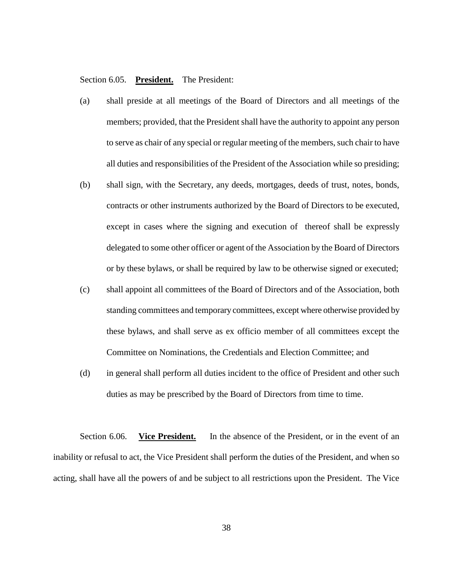# Section 6.05. **President.** The President:

- (a) shall preside at all meetings of the Board of Directors and all meetings of the members; provided, that the President shall have the authority to appoint any person to serve as chair of any special or regular meeting of the members, such chair to have all duties and responsibilities of the President of the Association while so presiding;
- (b) shall sign, with the Secretary, any deeds, mortgages, deeds of trust, notes, bonds, contracts or other instruments authorized by the Board of Directors to be executed, except in cases where the signing and execution of thereof shall be expressly delegated to some other officer or agent of the Association by the Board of Directors or by these bylaws, or shall be required by law to be otherwise signed or executed;
- (c) shall appoint all committees of the Board of Directors and of the Association, both standing committees and temporary committees, except where otherwise provided by these bylaws, and shall serve as ex officio member of all committees except the Committee on Nominations, the Credentials and Election Committee; and
- (d) in general shall perform all duties incident to the office of President and other such duties as may be prescribed by the Board of Directors from time to time.

Section 6.06. **Vice President.** In the absence of the President, or in the event of an inability or refusal to act, the Vice President shall perform the duties of the President, and when so acting, shall have all the powers of and be subject to all restrictions upon the President. The Vice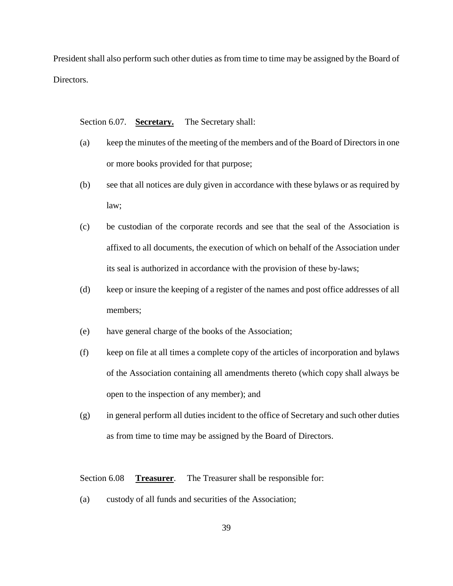President shall also perform such other duties as from time to time may be assigned by the Board of Directors.

Section 6.07. **Secretary.** The Secretary shall:

- (a) keep the minutes of the meeting of the members and of the Board of Directors in one or more books provided for that purpose;
- (b) see that all notices are duly given in accordance with these bylaws or as required by law;
- (c) be custodian of the corporate records and see that the seal of the Association is affixed to all documents, the execution of which on behalf of the Association under its seal is authorized in accordance with the provision of these by-laws;
- (d) keep or insure the keeping of a register of the names and post office addresses of all members;
- (e) have general charge of the books of the Association;
- (f) keep on file at all times a complete copy of the articles of incorporation and bylaws of the Association containing all amendments thereto (which copy shall always be open to the inspection of any member); and
- (g) in general perform all duties incident to the office of Secretary and such other duties as from time to time may be assigned by the Board of Directors.

Section 6.08 **Treasurer**. The Treasurer shall be responsible for:

(a) custody of all funds and securities of the Association;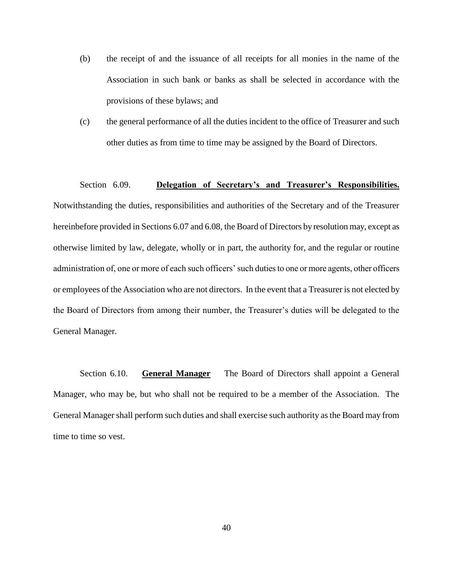- (b) the receipt of and the issuance of all receipts for all monies in the name of the Association in such bank or banks as shall be selected in accordance with the provisions of these bylaws; and
- (c) the general performance of all the duties incident to the office of Treasurer and such other duties as from time to time may be assigned by the Board of Directors.

# Section 6.09. **Delegation of Secretary's and Treasurer's Responsibilities.**

Notwithstanding the duties, responsibilities and authorities of the Secretary and of the Treasurer hereinbefore provided in Sections 6.07 and 6.08, the Board of Directors by resolution may, except as otherwise limited by law, delegate, wholly or in part, the authority for, and the regular or routine administration of, one or more of each such officers' such duties to one or more agents, other officers or employees of the Association who are not directors. In the event that a Treasurer is not elected by the Board of Directors from among their number, the Treasurer's duties will be delegated to the General Manager.

Section 6.10. **General Manager** The Board of Directors shall appoint a General Manager, who may be, but who shall not be required to be a member of the Association. The General Manager shall perform such duties and shall exercise such authority as the Board may from time to time so vest.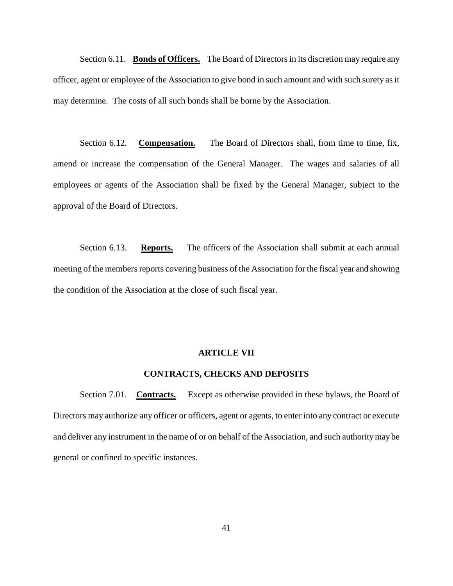Section 6.11. **Bonds of Officers.** The Board of Directors in its discretion may require any officer, agent or employee of the Association to give bond in such amount and with such surety as it may determine. The costs of all such bonds shall be borne by the Association.

Section 6.12. **Compensation.** The Board of Directors shall, from time to time, fix, amend or increase the compensation of the General Manager. The wages and salaries of all employees or agents of the Association shall be fixed by the General Manager, subject to the approval of the Board of Directors.

Section 6.13. **Reports.** The officers of the Association shall submit at each annual meeting of the members reports covering business of the Association for the fiscal year and showing the condition of the Association at the close of such fiscal year.

### **ARTICLE VII**

# **CONTRACTS, CHECKS AND DEPOSITS**

Section 7.01. **Contracts.** Except as otherwise provided in these bylaws, the Board of Directors may authorize any officer or officers, agent or agents, to enter into any contract or execute and deliver any instrument in the name of or on behalf of the Association, and such authority may be general or confined to specific instances.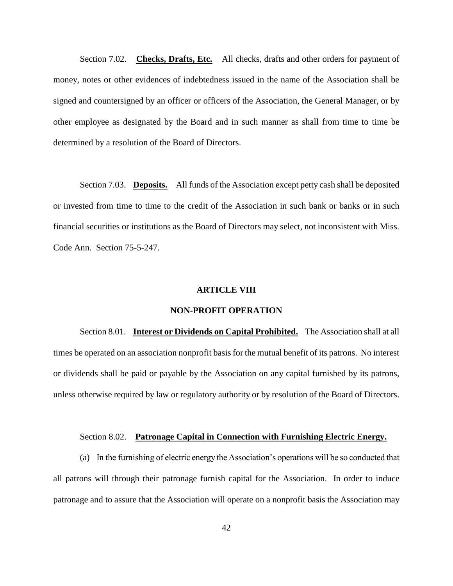Section 7.02. **Checks, Drafts, Etc.** All checks, drafts and other orders for payment of money, notes or other evidences of indebtedness issued in the name of the Association shall be signed and countersigned by an officer or officers of the Association, the General Manager, or by other employee as designated by the Board and in such manner as shall from time to time be determined by a resolution of the Board of Directors.

Section 7.03. **Deposits.** All funds of the Association except petty cash shall be deposited or invested from time to time to the credit of the Association in such bank or banks or in such financial securities or institutions as the Board of Directors may select, not inconsistent with Miss. Code Ann. Section 75-5-247.

### **ARTICLE VIII**

### **NON-PROFIT OPERATION**

Section 8.01. **Interest or Dividends on Capital Prohibited.** The Association shall at all times be operated on an association nonprofit basis for the mutual benefit of its patrons. No interest or dividends shall be paid or payable by the Association on any capital furnished by its patrons, unless otherwise required by law or regulatory authority or by resolution of the Board of Directors.

### Section 8.02. **Patronage Capital in Connection with Furnishing Electric Energy.**

(a) In the furnishing of electric energy the Association's operations will be so conducted that all patrons will through their patronage furnish capital for the Association. In order to induce patronage and to assure that the Association will operate on a nonprofit basis the Association may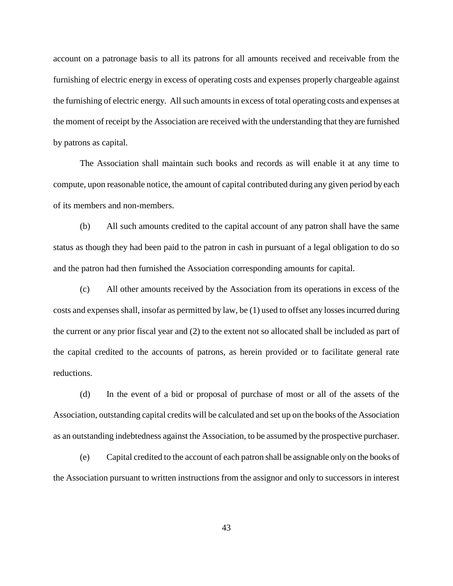account on a patronage basis to all its patrons for all amounts received and receivable from the furnishing of electric energy in excess of operating costs and expenses properly chargeable against the furnishing of electric energy. All such amounts in excess of total operating costs and expenses at the moment of receipt by the Association are received with the understanding that they are furnished by patrons as capital.

The Association shall maintain such books and records as will enable it at any time to compute, upon reasonable notice, the amount of capital contributed during any given period by each of its members and non-members.

(b) All such amounts credited to the capital account of any patron shall have the same status as though they had been paid to the patron in cash in pursuant of a legal obligation to do so and the patron had then furnished the Association corresponding amounts for capital.

(c) All other amounts received by the Association from its operations in excess of the costs and expenses shall, insofar as permitted by law, be (1) used to offset any losses incurred during the current or any prior fiscal year and (2) to the extent not so allocated shall be included as part of the capital credited to the accounts of patrons, as herein provided or to facilitate general rate reductions.

(d) In the event of a bid or proposal of purchase of most or all of the assets of the Association, outstanding capital credits will be calculated and set up on the books of the Association as an outstanding indebtedness against the Association, to be assumed by the prospective purchaser.

(e) Capital credited to the account of each patron shall be assignable only on the books of the Association pursuant to written instructions from the assignor and only to successors in interest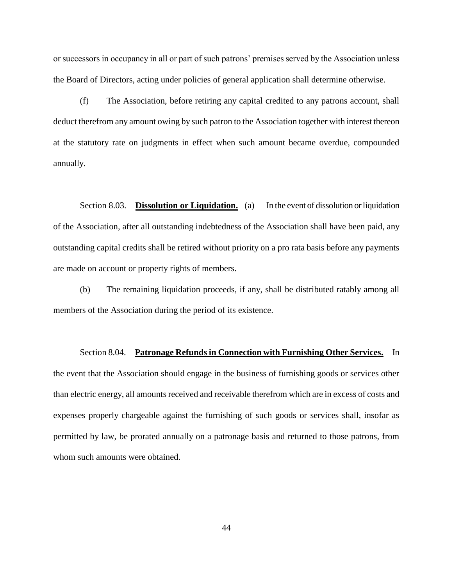or successors in occupancy in all or part of such patrons' premises served by the Association unless the Board of Directors, acting under policies of general application shall determine otherwise.

(f) The Association, before retiring any capital credited to any patrons account, shall deduct therefrom any amount owing by such patron to the Association together with interest thereon at the statutory rate on judgments in effect when such amount became overdue, compounded annually.

Section 8.03. **Dissolution or Liquidation.** (a) In the event of dissolution or liquidation of the Association, after all outstanding indebtedness of the Association shall have been paid, any outstanding capital credits shall be retired without priority on a pro rata basis before any payments are made on account or property rights of members.

(b) The remaining liquidation proceeds, if any, shall be distributed ratably among all members of the Association during the period of its existence.

Section 8.04. **Patronage Refunds in Connection with Furnishing Other Services.** In the event that the Association should engage in the business of furnishing goods or services other than electric energy, all amounts received and receivable therefrom which are in excess of costs and expenses properly chargeable against the furnishing of such goods or services shall, insofar as permitted by law, be prorated annually on a patronage basis and returned to those patrons, from whom such amounts were obtained.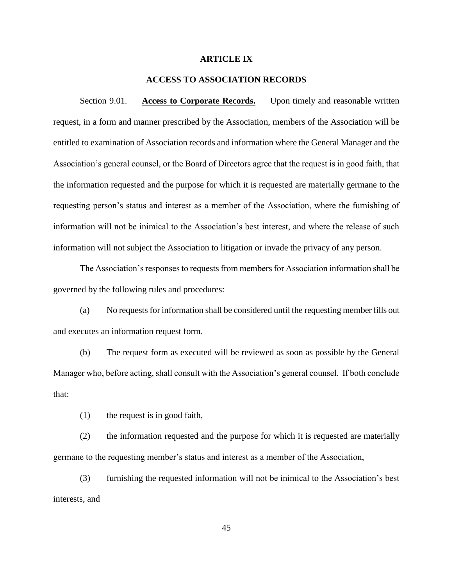# **ARTICLE IX**

# **ACCESS TO ASSOCIATION RECORDS**

Section 9.01. **Access to Corporate Records.** Upon timely and reasonable written request, in a form and manner prescribed by the Association, members of the Association will be entitled to examination of Association records and information where the General Manager and the Association's general counsel, or the Board of Directors agree that the request is in good faith, that the information requested and the purpose for which it is requested are materially germane to the requesting person's status and interest as a member of the Association, where the furnishing of information will not be inimical to the Association's best interest, and where the release of such information will not subject the Association to litigation or invade the privacy of any person.

The Association's responses to requests from members for Association information shall be governed by the following rules and procedures:

(a) No requests for information shall be considered until the requesting member fills out and executes an information request form.

(b) The request form as executed will be reviewed as soon as possible by the General Manager who, before acting, shall consult with the Association's general counsel. If both conclude that:

(1) the request is in good faith,

(2) the information requested and the purpose for which it is requested are materially germane to the requesting member's status and interest as a member of the Association,

(3) furnishing the requested information will not be inimical to the Association's best interests, and

45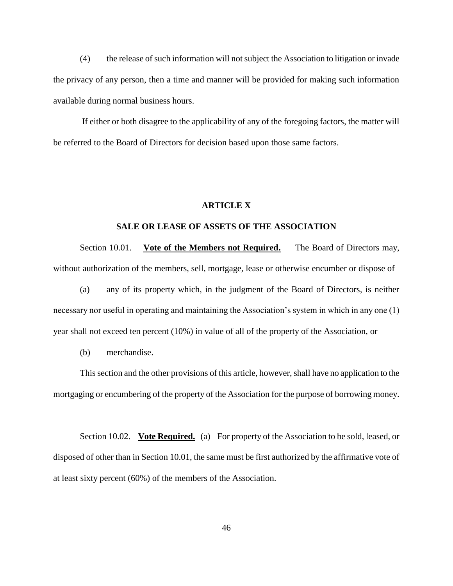(4) the release of such information will not subject the Association to litigation or invade the privacy of any person, then a time and manner will be provided for making such information available during normal business hours.

If either or both disagree to the applicability of any of the foregoing factors, the matter will be referred to the Board of Directors for decision based upon those same factors.

# **ARTICLE X**

### **SALE OR LEASE OF ASSETS OF THE ASSOCIATION**

Section 10.01. **Vote of the Members not Required.** The Board of Directors may, without authorization of the members, sell, mortgage, lease or otherwise encumber or dispose of

(a) any of its property which, in the judgment of the Board of Directors, is neither necessary nor useful in operating and maintaining the Association's system in which in any one (1) year shall not exceed ten percent (10%) in value of all of the property of the Association, or

(b) merchandise.

This section and the other provisions of this article, however, shall have no application to the mortgaging or encumbering of the property of the Association for the purpose of borrowing money.

Section 10.02. **Vote Required.** (a) For property of the Association to be sold, leased, or disposed of other than in Section 10.01, the same must be first authorized by the affirmative vote of at least sixty percent (60%) of the members of the Association.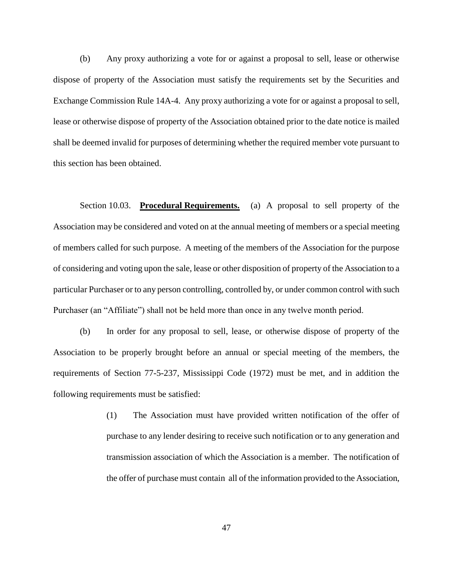(b) Any proxy authorizing a vote for or against a proposal to sell, lease or otherwise dispose of property of the Association must satisfy the requirements set by the Securities and Exchange Commission Rule 14A-4. Any proxy authorizing a vote for or against a proposal to sell, lease or otherwise dispose of property of the Association obtained prior to the date notice is mailed shall be deemed invalid for purposes of determining whether the required member vote pursuant to this section has been obtained.

Section 10.03. **Procedural Requirements.** (a) A proposal to sell property of the Association may be considered and voted on at the annual meeting of members or a special meeting of members called for such purpose. A meeting of the members of the Association for the purpose of considering and voting upon the sale, lease or other disposition of property of the Association to a particular Purchaser or to any person controlling, controlled by, or under common control with such Purchaser (an "Affiliate") shall not be held more than once in any twelve month period.

(b) In order for any proposal to sell, lease, or otherwise dispose of property of the Association to be properly brought before an annual or special meeting of the members, the requirements of Section 77-5-237, Mississippi Code (1972) must be met, and in addition the following requirements must be satisfied:

> (1) The Association must have provided written notification of the offer of purchase to any lender desiring to receive such notification or to any generation and transmission association of which the Association is a member. The notification of the offer of purchase must contain all of the information provided to the Association,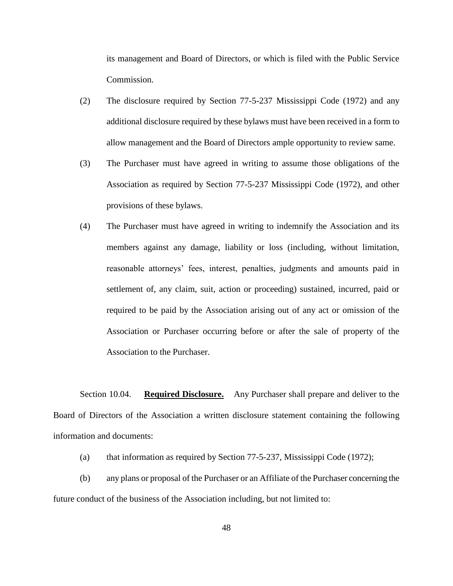its management and Board of Directors, or which is filed with the Public Service Commission.

- (2) The disclosure required by Section 77-5-237 Mississippi Code (1972) and any additional disclosure required by these bylaws must have been received in a form to allow management and the Board of Directors ample opportunity to review same.
- (3) The Purchaser must have agreed in writing to assume those obligations of the Association as required by Section 77-5-237 Mississippi Code (1972), and other provisions of these bylaws.
- (4) The Purchaser must have agreed in writing to indemnify the Association and its members against any damage, liability or loss (including, without limitation, reasonable attorneys' fees, interest, penalties, judgments and amounts paid in settlement of, any claim, suit, action or proceeding) sustained, incurred, paid or required to be paid by the Association arising out of any act or omission of the Association or Purchaser occurring before or after the sale of property of the Association to the Purchaser.

Section 10.04. **Required Disclosure.** Any Purchaser shall prepare and deliver to the Board of Directors of the Association a written disclosure statement containing the following information and documents:

- (a) that information as required by Section 77-5-237, Mississippi Code (1972);
- (b) any plans or proposal of the Purchaser or an Affiliate of the Purchaser concerning the future conduct of the business of the Association including, but not limited to: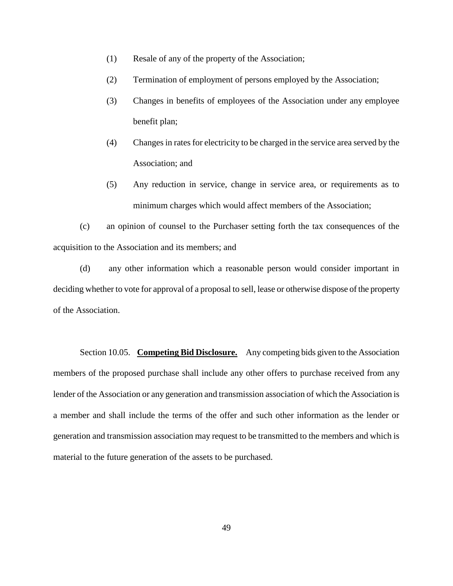- (1) Resale of any of the property of the Association;
- (2) Termination of employment of persons employed by the Association;
- (3) Changes in benefits of employees of the Association under any employee benefit plan;
- (4) Changes in rates for electricity to be charged in the service area served by the Association; and
- (5) Any reduction in service, change in service area, or requirements as to minimum charges which would affect members of the Association;

(c) an opinion of counsel to the Purchaser setting forth the tax consequences of the acquisition to the Association and its members; and

(d) any other information which a reasonable person would consider important in deciding whether to vote for approval of a proposal to sell, lease or otherwise dispose of the property of the Association.

Section 10.05. **Competing Bid Disclosure.** Any competing bids given to the Association members of the proposed purchase shall include any other offers to purchase received from any lender of the Association or any generation and transmission association of which the Association is a member and shall include the terms of the offer and such other information as the lender or generation and transmission association may request to be transmitted to the members and which is material to the future generation of the assets to be purchased.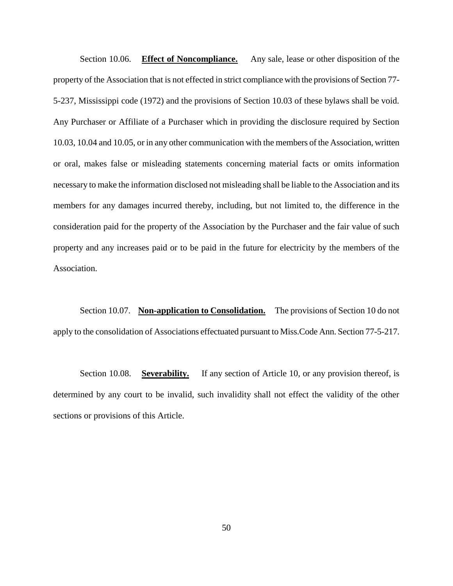Section 10.06. **Effect of Noncompliance.** Any sale, lease or other disposition of the property of the Association that is not effected in strict compliance with the provisions of Section 77- 5-237, Mississippi code (1972) and the provisions of Section 10.03 of these bylaws shall be void. Any Purchaser or Affiliate of a Purchaser which in providing the disclosure required by Section 10.03, 10.04 and 10.05, or in any other communication with the members of the Association, written or oral, makes false or misleading statements concerning material facts or omits information necessary to make the information disclosed not misleading shall be liable to the Association and its members for any damages incurred thereby, including, but not limited to, the difference in the consideration paid for the property of the Association by the Purchaser and the fair value of such property and any increases paid or to be paid in the future for electricity by the members of the Association.

Section 10.07. **Non-application to Consolidation.** The provisions of Section 10 do not apply to the consolidation of Associations effectuated pursuant to Miss.Code Ann. Section 77-5-217.

Section 10.08. **Severability.** If any section of Article 10, or any provision thereof, is determined by any court to be invalid, such invalidity shall not effect the validity of the other sections or provisions of this Article.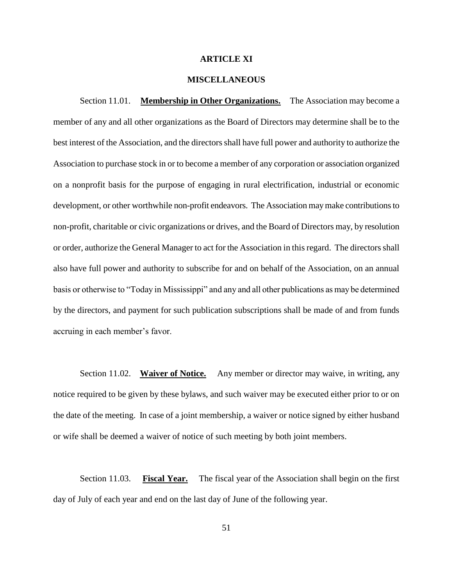# **ARTICLE XI**

# **MISCELLANEOUS**

Section 11.01. **Membership in Other Organizations.** The Association may become a member of any and all other organizations as the Board of Directors may determine shall be to the best interest of the Association, and the directors shall have full power and authority to authorize the Association to purchase stock in or to become a member of any corporation or association organized on a nonprofit basis for the purpose of engaging in rural electrification, industrial or economic development, or other worthwhile non-profit endeavors. The Association may make contributions to non-profit, charitable or civic organizations or drives, and the Board of Directors may, by resolution or order, authorize the General Manager to act for the Association in this regard. The directors shall also have full power and authority to subscribe for and on behalf of the Association, on an annual basis or otherwise to "Today in Mississippi" and any and all other publications as may be determined by the directors, and payment for such publication subscriptions shall be made of and from funds accruing in each member's favor.

Section 11.02. **Waiver of Notice.** Any member or director may waive, in writing, any notice required to be given by these bylaws, and such waiver may be executed either prior to or on the date of the meeting. In case of a joint membership, a waiver or notice signed by either husband or wife shall be deemed a waiver of notice of such meeting by both joint members.

Section 11.03. **Fiscal Year.** The fiscal year of the Association shall begin on the first day of July of each year and end on the last day of June of the following year.